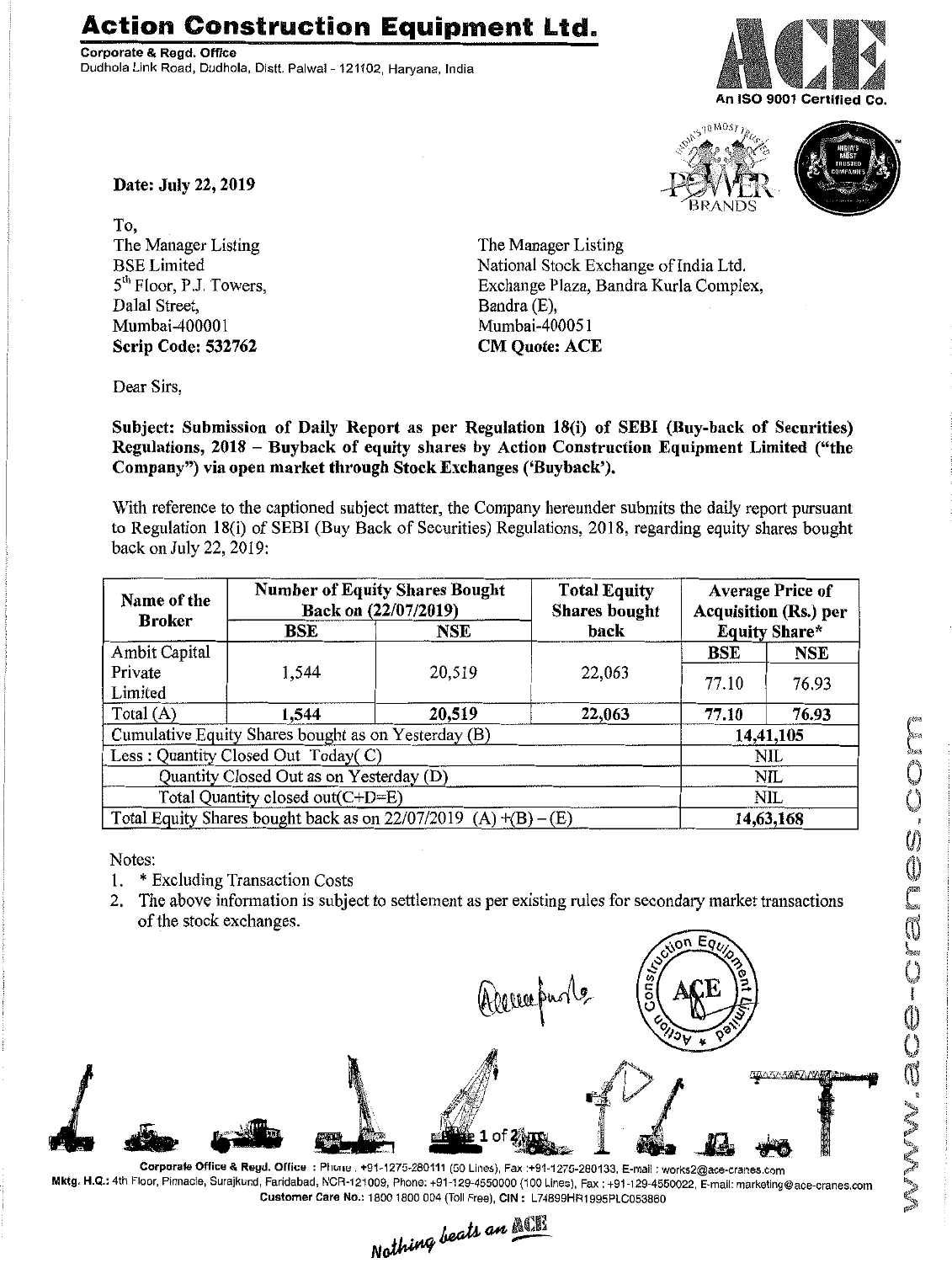## **Action Construction Equipment Ltd.**

Corporate & Regd.Office Dudhola Link Road, Dudhola, Distt, Palwal - 121102, Haryana, India







Date: July 22, 2019

To, The Manager Listing BSE Limited 5<sup>th</sup> Floor, P.J. Towers, Dalal Street, Mumbai-400001 Scrip Code: 532762

The Manager Listing National Stock Exchange of India Ltd. Exchange Plaza, Bandra Kurla Complex, Bandra (E), Mumbai-400051 CM Quote: ACE

Dear Sirs,

SUbject: Submission of Daily Report as per Regulation 18(i) of SEBI (Buy-back of Securities) Regulations, 2018 - Buyback of equity shares by Action Construction Equipment Limited ("the Company") via open market through Stock Exchanges ('Buyback').

With reference to the captioned subject matter, the Company hereunder submits the daily report pursuant to Regulation 18(i) of SEBI (Buy Back of Securities) Regulations, 2018, regarding equity shares bought back on July 22, 2019:

| Name of the<br><b>Broker</b>                                      | <b>Number of Equity Shares Bought</b><br>Back on (22/07/2019) |            | <b>Total Equity</b><br><b>Shares bought</b> | <b>Average Price of</b><br><b>Acquisition (Rs.) per</b> |       |
|-------------------------------------------------------------------|---------------------------------------------------------------|------------|---------------------------------------------|---------------------------------------------------------|-------|
|                                                                   | BSE                                                           | <b>NSE</b> | back                                        | <b>Equity Share*</b>                                    |       |
| Ambit Capital                                                     |                                                               |            |                                             | BSE                                                     | NSE   |
| Private                                                           | 1,544                                                         | 20,519     | 22,063                                      | 77.10                                                   | 76.93 |
| Limited                                                           |                                                               |            |                                             |                                                         |       |
| Total (A)                                                         | 1,544                                                         | 20,519     | 22,063                                      | 77.10                                                   | 76.93 |
| Cumulative Equity Shares bought as on Yesterday (B)               |                                                               |            |                                             | 14,41,105                                               |       |
| Less: Quantity Closed Out Today(C)                                |                                                               |            |                                             | NIL                                                     |       |
| Quantity Closed Out as on Yesterday (D)                           |                                                               |            |                                             | <b>NIL</b>                                              |       |
| Total Quantity closed out(C+D=E)                                  |                                                               |            |                                             | NIL                                                     |       |
| Total Equity Shares bought back as on $22/07/2019$ (A) +(B) – (E) |                                                               |            |                                             | 14,63,168                                               |       |

Notes:

- 1. \* Excluding Transaction Costs
- 2. The above information is subject to settlement as per existing rules for secondary market transactions of the stock exchanges.



Mktg. H.Q.: 4th Floor, Pinnacie, Surajkund, Faridabad, NCR-121009, Phone: +91-129-4550000 (100 Lines), Fax: +91-129-4550022, E-mail: marketing@ace-cranes.com Customer Care No.: 1800 1800004 (Toll Free), CIN: L74899HR1995PLC053860

Nothing beats an ACE